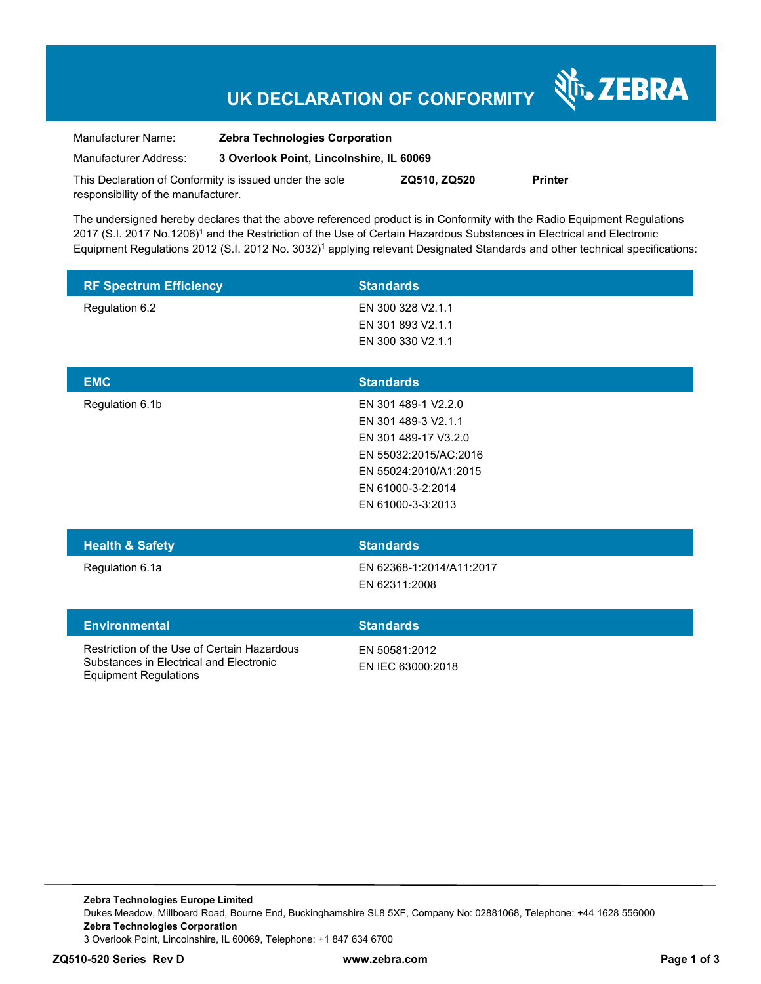# **UK DECLARATION OF CONFORMITY**

र्शे<sub>ं</sub> ZEBRA

| Manufacturer Name:                                      | <b>Zebra Technologies Corporation</b>    |              |                |
|---------------------------------------------------------|------------------------------------------|--------------|----------------|
| Manufacturer Address:                                   | 3 Overlook Point, Lincolnshire, IL 60069 |              |                |
| This Declaration of Conformity is issued under the sole |                                          | ZQ510, ZQ520 | <b>Printer</b> |

The undersigned hereby declares that the above referenced product is in Conformity with the Radio Equipment Regulations 2017 (S.I. 2017 No.1206)<sup>1</sup> and the Restriction of the Use of Certain Hazardous Substances in Electrical and Electronic Equipment Regulations 2012 (S.I. 2012 No. 3032)<sup>1</sup> applying relevant Designated Standards and other technical specifications:

| <b>RF Spectrum Efficiency</b> | <b>Standards</b>  |  |
|-------------------------------|-------------------|--|
| Regulation 6.2                | EN 300 328 V2.1.1 |  |
|                               | EN 301 893 V2.1.1 |  |
|                               | EN 300 330 V2.1.1 |  |
|                               |                   |  |
| <b>EMC</b>                    | <b>Standards</b>  |  |
|                               |                   |  |

| <b>Health &amp; Safety</b> | <b>Standards</b>      |
|----------------------------|-----------------------|
|                            |                       |
|                            |                       |
|                            | EN 61000-3-3:2013     |
|                            | EN 61000-3-2:2014     |
|                            | EN 55024:2010/A1:2015 |
|                            | EN 55032:2015/AC:2016 |
|                            | EN 301 489-17 V3.2.0  |
|                            | EN 301 489-3 V2.1.1   |
| Regulation 6.1b            | EN 301 489-1 V2.2.0   |
|                            |                       |

responsibility of the manufacturer.

Regulation 6.1a EN 62368-1:2014/A11:2017 EN 62311:2008

#### **Environmental Standards**

Restriction of the Use of Certain Hazardous Substances in Electrical and Electronic Equipment Regulations

EN 50581:2012

EN IEC 63000:2018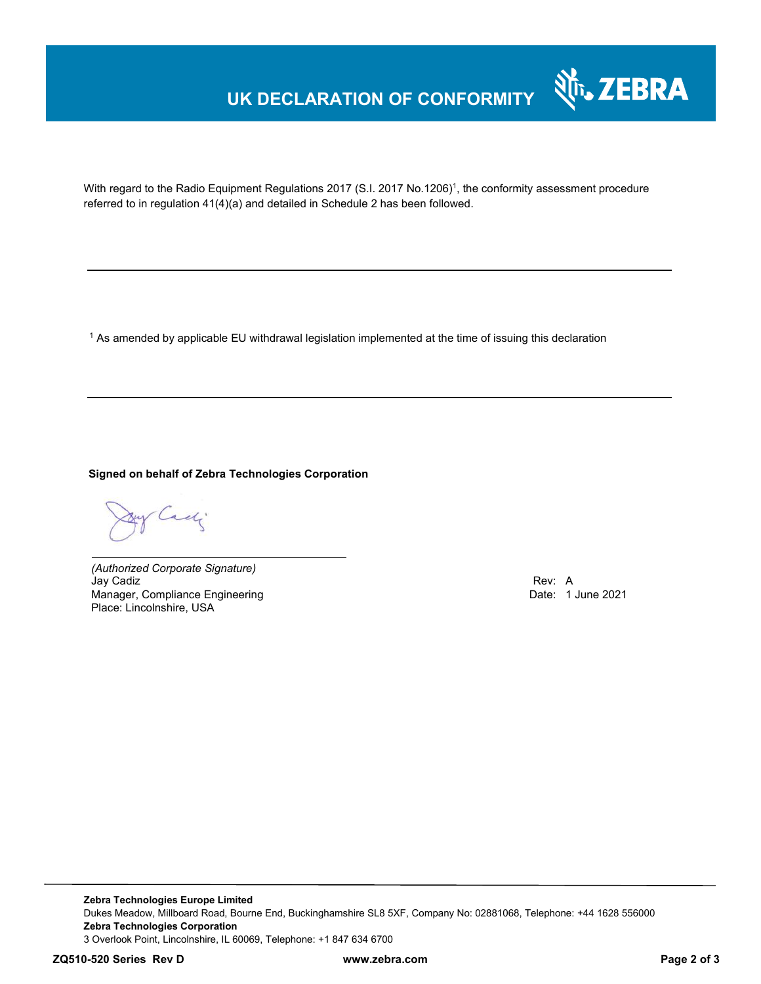## **UK DECLARATION OF CONFORMITY**



With regard to the Radio Equipment Regulations 2017 (S.I. 2017 No.1206)<sup>1</sup>, the conformity assessment procedure referred to in regulation 41(4)(a) and detailed in Schedule 2 has been followed.

 $^{\rm 1}$  As amended by applicable EU withdrawal legislation implemented at the time of issuing this declaration

### **Signed on behalf of Zebra Technologies Corporation**

Cach

*(Authorized Corporate Signature)* Jay Cadiz Rev: A Manager, Compliance Engineering Place: Lincolnshire, USA